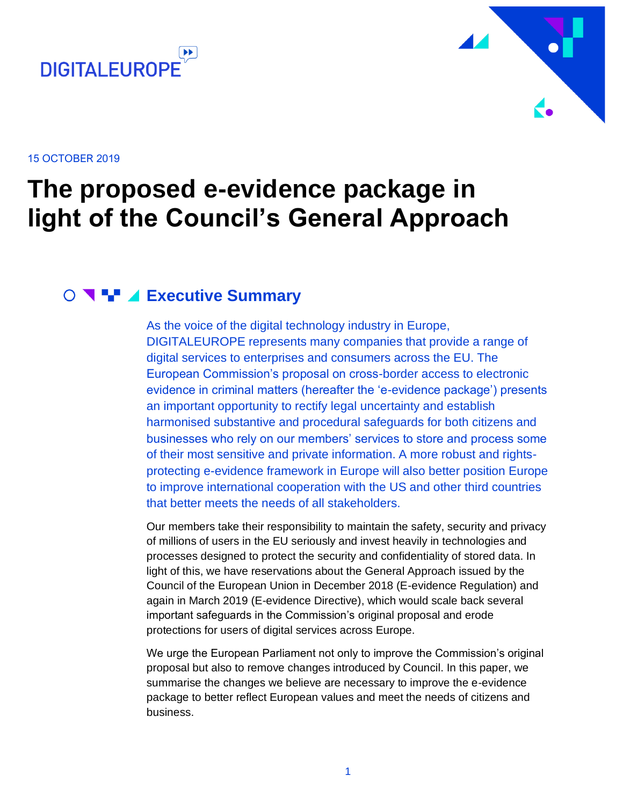



15 OCTOBER 2019

## **The proposed e-evidence package in light of the Council's General Approach**

#### **Executive Summary**

<span id="page-0-0"></span>As the voice of the digital technology industry in Europe, DIGITALEUROPE represents many companies that provide a range of digital services to enterprises and consumers across the EU. The European Commission's proposal on cross-border access to electronic evidence in criminal matters (hereafter the 'e-evidence package') presents an important opportunity to rectify legal uncertainty and establish harmonised substantive and procedural safeguards for both citizens and businesses who rely on our members' services to store and process some of their most sensitive and private information. A more robust and rightsprotecting e-evidence framework in Europe will also better position Europe to improve international cooperation with the US and other third countries that better meets the needs of all stakeholders.

Our members take their responsibility to maintain the safety, security and privacy of millions of users in the EU seriously and invest heavily in technologies and processes designed to protect the security and confidentiality of stored data. In light of this, we have reservations about the General Approach issued by the Council of the European Union in December 2018 (E-evidence Regulation) and again in March 2019 (E-evidence Directive), which would scale back several important safeguards in the Commission's original proposal and erode protections for users of digital services across Europe.

We urge the European Parliament not only to improve the Commission's original proposal but also to remove changes introduced by Council. In this paper, we summarise the changes we believe are necessary to improve the e-evidence package to better reflect European values and meet the needs of citizens and business.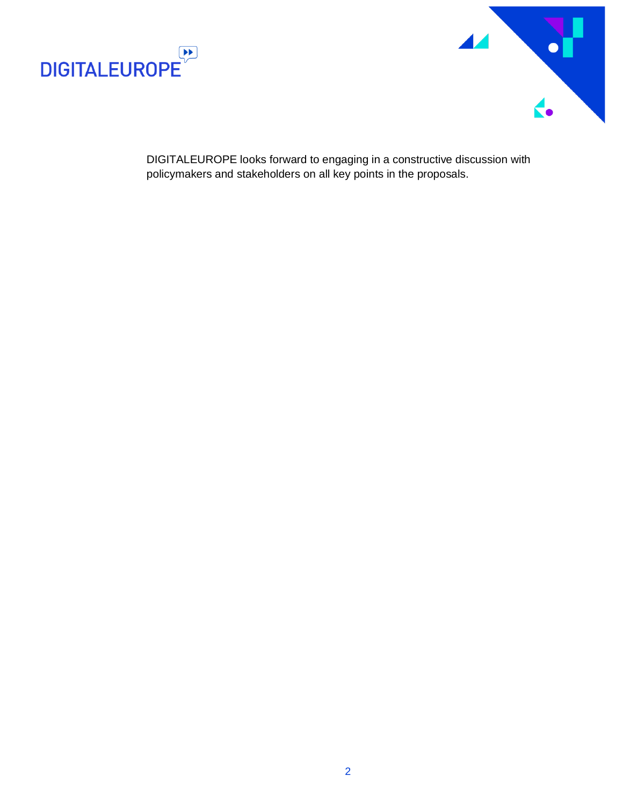



DIGITALEUROPE looks forward to engaging in a constructive discussion with policymakers and stakeholders on all key points in the proposals.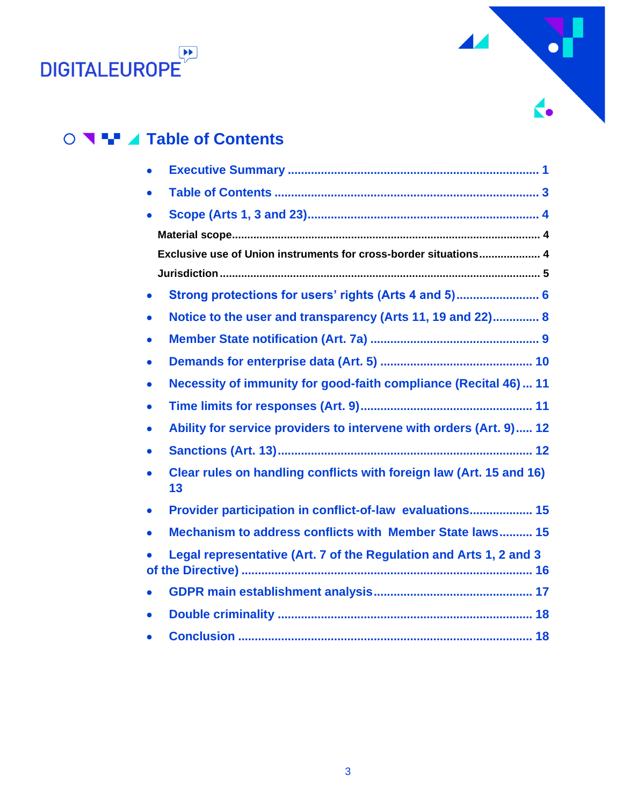



## **Table of Contents**

<span id="page-2-0"></span>

| $\bullet$                                                                       |
|---------------------------------------------------------------------------------|
| $\bullet$                                                                       |
|                                                                                 |
|                                                                                 |
| Exclusive use of Union instruments for cross-border situations 4                |
|                                                                                 |
| Strong protections for users' rights (Arts 4 and 5) 6<br>$\bullet$              |
| Notice to the user and transparency (Arts 11, 19 and 22) 8<br>$\bullet$         |
| $\bullet$                                                                       |
| $\bullet$                                                                       |
| Necessity of immunity for good-faith compliance (Recital 46)  11<br>$\bullet$   |
| ۰                                                                               |
| Ability for service providers to intervene with orders (Art. 9) 12<br>$\bullet$ |
| $\bullet$                                                                       |
| Clear rules on handling conflicts with foreign law (Art. 15 and 16)<br>13       |
| Provider participation in conflict-of-law evaluations 15<br>$\bullet$           |
| Mechanism to address conflicts with Member State laws 15<br>$\bullet$           |
| Legal representative (Art. 7 of the Regulation and Arts 1, 2 and 3              |
| $\bullet$                                                                       |
| $\bullet$                                                                       |
|                                                                                 |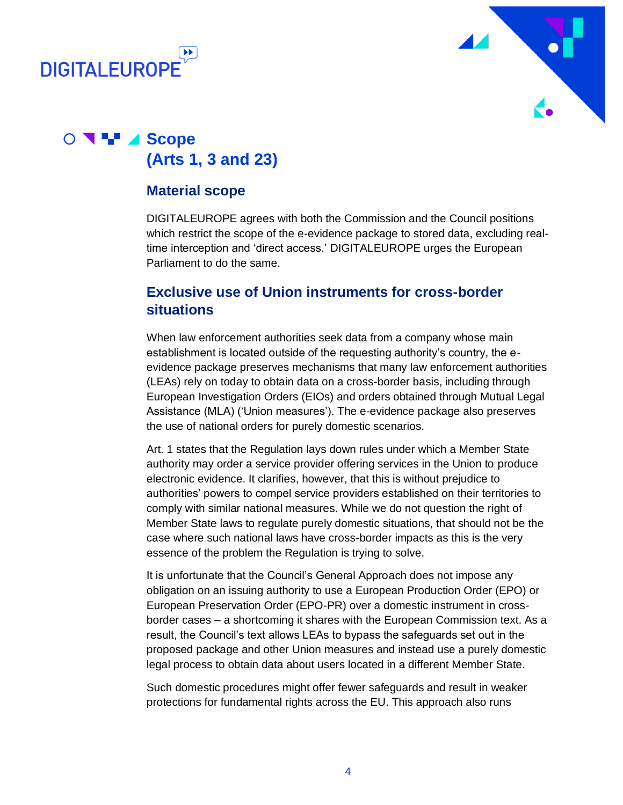



## **Scope Scope (Arts 1, 3 and 23)**

#### <span id="page-3-1"></span><span id="page-3-0"></span>**Material scope**

DIGITALEUROPE agrees with both the Commission and the Council positions which restrict the scope of the e-evidence package to stored data, excluding realtime interception and 'direct access.' DIGITALEUROPE urges the European Parliament to do the same.

#### <span id="page-3-2"></span>**Exclusive use of Union instruments for cross-border situations**

When law enforcement authorities seek data from a company whose main establishment is located outside of the requesting authority's country, the eevidence package preserves mechanisms that many law enforcement authorities (LEAs) rely on today to obtain data on a cross-border basis, including through European Investigation Orders (EIOs) and orders obtained through Mutual Legal Assistance (MLA) ('Union measures'). The e-evidence package also preserves the use of national orders for purely domestic scenarios.

Art. 1 states that the Regulation lays down rules under which a Member State authority may order a service provider offering services in the Union to produce electronic evidence. It clarifies, however, that this is without prejudice to authorities' powers to compel service providers established on their territories to comply with similar national measures. While we do not question the right of Member State laws to regulate purely domestic situations, that should not be the case where such national laws have cross-border impacts as this is the very essence of the problem the Regulation is trying to solve.

It is unfortunate that the Council's General Approach does not impose any obligation on an issuing authority to use a European Production Order (EPO) or European Preservation Order (EPO-PR) over a domestic instrument in crossborder cases – a shortcoming it shares with the European Commission text. As a result, the Council's text allows LEAs to bypass the safeguards set out in the proposed package and other Union measures and instead use a purely domestic legal process to obtain data about users located in a different Member State.

Such domestic procedures might offer fewer safeguards and result in weaker protections for fundamental rights across the EU. This approach also runs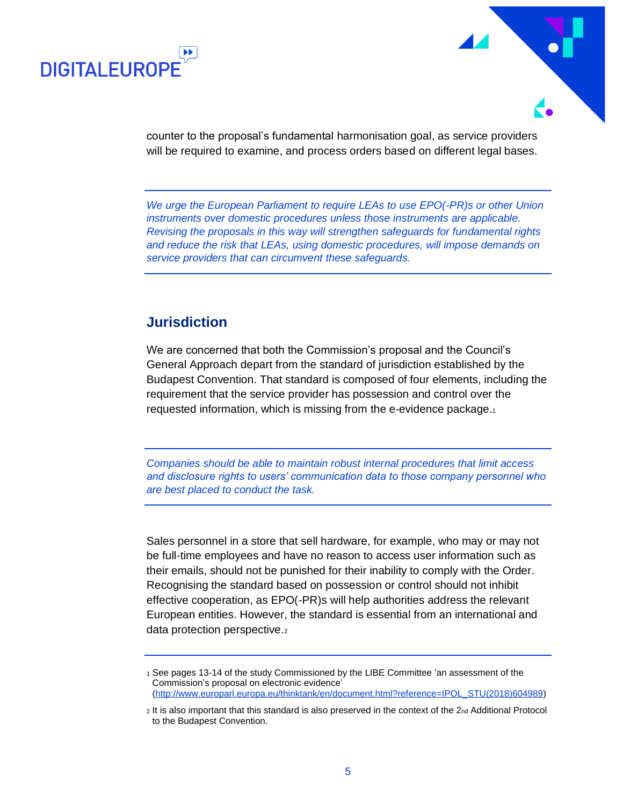



counter to the proposal's fundamental harmonisation goal, as service providers will be required to examine, and process orders based on different legal bases.

*We urge the European Parliament to require LEAs to use EPO(-PR)s or other Union instruments over domestic procedures unless those instruments are applicable. Revising the proposals in this way will strengthen safeguards for fundamental rights and reduce the risk that LEAs, using domestic procedures, will impose demands on service providers that can circumvent these safeguards.*

#### <span id="page-4-0"></span>**Jurisdiction**

We are concerned that both the Commission's proposal and the Council's General Approach depart from the standard of jurisdiction established by the Budapest Convention. That standard is composed of four elements, including the requirement that the service provider has possession and control over the requested information, which is missing from the e-evidence package.<sup>1</sup>

*Companies should be able to maintain robust internal procedures that limit access and disclosure rights to users' communication data to those company personnel who are best placed to conduct the task.*

Sales personnel in a store that sell hardware, for example, who may or may not be full-time employees and have no reason to access user information such as their emails, should not be punished for their inability to comply with the Order. Recognising the standard based on possession or control should not inhibit effective cooperation, as EPO(-PR)s will help authorities address the relevant European entities. However, the standard is essential from an international and data protection perspective.<sup>2</sup>

<sup>1</sup> See pages 13-14 of the study Commissioned by the LIBE Committee 'an assessment of the Commission's proposal on electronic evidence' [\(http://www.europarl.europa.eu/thinktank/en/document.html?reference=IPOL\\_STU\(2018\)604989\)](http://www.europarl.europa.eu/thinktank/en/document.html?reference=IPOL_STU(2018)604989)

<sup>2</sup> It is also important that this standard is also preserved in the context of the 2nd Additional Protocol to the Budapest Convention.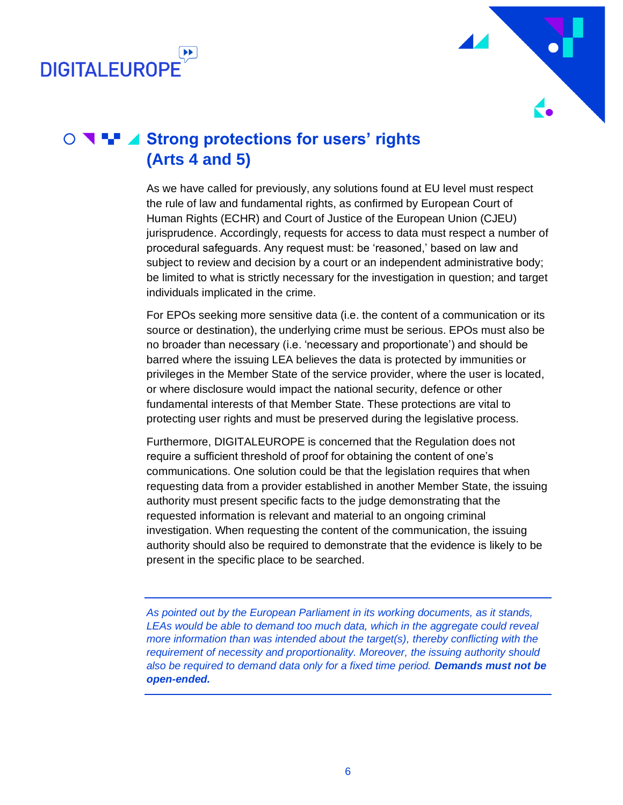



## ○ **N + 4 Strong protections for users' rights (Arts 4 and 5)**

<span id="page-5-0"></span>As we have called for previously, any solutions found at EU level must respect the rule of law and fundamental rights, as confirmed by European Court of Human Rights (ECHR) and Court of Justice of the European Union (CJEU) jurisprudence. Accordingly, requests for access to data must respect a number of procedural safeguards. Any request must: be 'reasoned,' based on law and subject to review and decision by a court or an independent administrative body; be limited to what is strictly necessary for the investigation in question; and target individuals implicated in the crime.

For EPOs seeking more sensitive data (i.e. the content of a communication or its source or destination), the underlying crime must be serious. EPOs must also be no broader than necessary (i.e. 'necessary and proportionate') and should be barred where the issuing LEA believes the data is protected by immunities or privileges in the Member State of the service provider, where the user is located, or where disclosure would impact the national security, defence or other fundamental interests of that Member State. These protections are vital to protecting user rights and must be preserved during the legislative process.

Furthermore, DIGITALEUROPE is concerned that the Regulation does not require a sufficient threshold of proof for obtaining the content of one's communications. One solution could be that the legislation requires that when requesting data from a provider established in another Member State, the issuing authority must present specific facts to the judge demonstrating that the requested information is relevant and material to an ongoing criminal investigation. When requesting the content of the communication, the issuing authority should also be required to demonstrate that the evidence is likely to be present in the specific place to be searched.

*As pointed out by the European Parliament in its working documents, as it stands,*  LEAs would be able to demand too much data, which in the aggregate could reveal *more information than was intended about the target(s), thereby conflicting with the requirement of necessity and proportionality. Moreover, the issuing authority should also be required to demand data only for a fixed time period. Demands must not be open-ended.*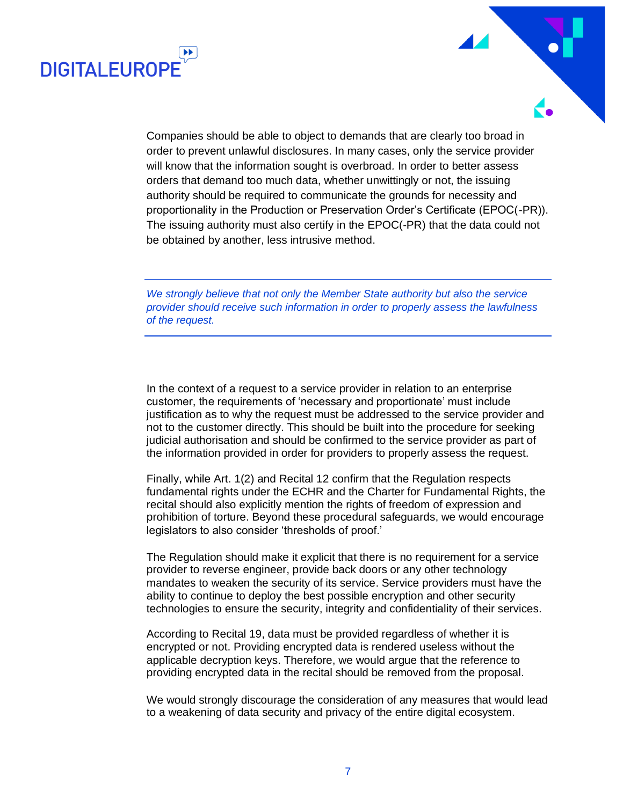

Companies should be able to object to demands that are clearly too broad in order to prevent unlawful disclosures. In many cases, only the service provider will know that the information sought is overbroad*.* In order to better assess orders that demand too much data, whether unwittingly or not, the issuing authority should be required to communicate the grounds for necessity and proportionality in the Production or Preservation Order's Certificate (EPOC(-PR)). The issuing authority must also certify in the EPOC(-PR) that the data could not be obtained by another, less intrusive method.

**DIGITAL FUROPI** 

*We strongly believe that not only the Member State authority but also the service provider should receive such information in order to properly assess the lawfulness of the request.*

In the context of a request to a service provider in relation to an enterprise customer, the requirements of 'necessary and proportionate' must include justification as to why the request must be addressed to the service provider and not to the customer directly. This should be built into the procedure for seeking judicial authorisation and should be confirmed to the service provider as part of the information provided in order for providers to properly assess the request.

Finally, while Art. 1(2) and Recital 12 confirm that the Regulation respects fundamental rights under the ECHR and the Charter for Fundamental Rights, the recital should also explicitly mention the rights of freedom of expression and prohibition of torture. Beyond these procedural safeguards, we would encourage legislators to also consider 'thresholds of proof.'

The Regulation should make it explicit that there is no requirement for a service provider to reverse engineer, provide back doors or any other technology mandates to weaken the security of its service. Service providers must have the ability to continue to deploy the best possible encryption and other security technologies to ensure the security, integrity and confidentiality of their services.

According to Recital 19, data must be provided regardless of whether it is encrypted or not. Providing encrypted data is rendered useless without the applicable decryption keys. Therefore, we would argue that the reference to providing encrypted data in the recital should be removed from the proposal.

We would strongly discourage the consideration of any measures that would lead to a weakening of data security and privacy of the entire digital ecosystem.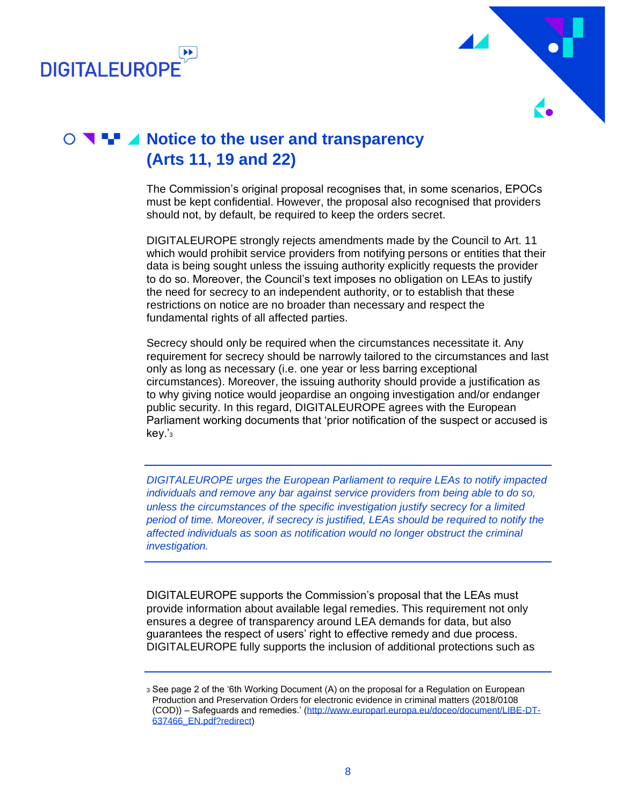



## **Notice to the user and transparency (Arts 11, 19 and 22)**

<span id="page-7-0"></span>The Commission's original proposal recognises that, in some scenarios, EPOCs must be kept confidential. However, the proposal also recognised that providers should not, by default, be required to keep the orders secret.

DIGITALEUROPE strongly rejects amendments made by the Council to Art. 11 which would prohibit service providers from notifying persons or entities that their data is being sought unless the issuing authority explicitly requests the provider to do so. Moreover, the Council's text imposes no obligation on LEAs to justify the need for secrecy to an independent authority, or to establish that these restrictions on notice are no broader than necessary and respect the fundamental rights of all affected parties.

Secrecy should only be required when the circumstances necessitate it. Any requirement for secrecy should be narrowly tailored to the circumstances and last only as long as necessary (i.e. one year or less barring exceptional circumstances). Moreover, the issuing authority should provide a justification as to why giving notice would jeopardise an ongoing investigation and/or endanger public security. In this regard, DIGITALEUROPE agrees with the European Parliament working documents that 'prior notification of the suspect or accused is key.'<sub>3</sub>

*DIGITALEUROPE urges the European Parliament to require LEAs to notify impacted individuals and remove any bar against service providers from being able to do so, unless the circumstances of the specific investigation justify secrecy for a limited period of time. Moreover, if secrecy is justified, LEAs should be required to notify the affected individuals as soon as notification would no longer obstruct the criminal investigation.*

DIGITALEUROPE supports the Commission's proposal that the LEAs must provide information about available legal remedies. This requirement not only ensures a degree of transparency around LEA demands for data, but also guarantees the respect of users' right to effective remedy and due process. DIGITALEUROPE fully supports the inclusion of additional protections such as

<sup>3</sup> See page 2 of the '6th Working Document (A) on the proposal for a Regulation on European Production and Preservation Orders for electronic evidence in criminal matters (2018/0108 (COD)) – Safeguards and remedies.' [\(http://www.europarl.europa.eu/doceo/document/LIBE-DT-](http://www.europarl.europa.eu/doceo/document/LIBE-DT-637466_EN.pdf?redirect)[637466\\_EN.pdf?redirect\)](http://www.europarl.europa.eu/doceo/document/LIBE-DT-637466_EN.pdf?redirect)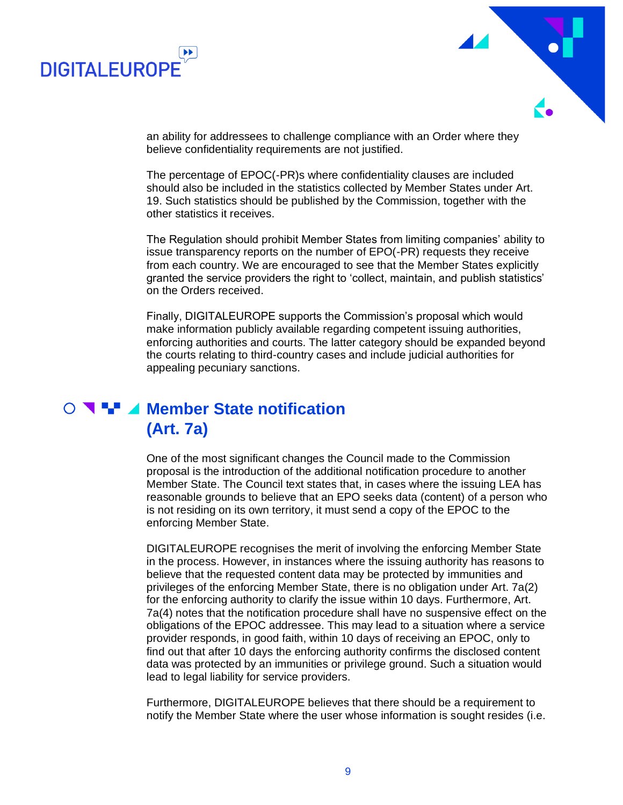



an ability for addressees to challenge compliance with an Order where they believe confidentiality requirements are not justified.

The percentage of EPOC(-PR)s where confidentiality clauses are included should also be included in the statistics collected by Member States under Art. 19. Such statistics should be published by the Commission, together with the other statistics it receives.

The Regulation should prohibit Member States from limiting companies' ability to issue transparency reports on the number of EPO(-PR) requests they receive from each country. We are encouraged to see that the Member States explicitly granted the service providers the right to 'collect, maintain, and publish statistics' on the Orders received.

Finally, DIGITALEUROPE supports the Commission's proposal which would make information publicly available regarding competent issuing authorities, enforcing authorities and courts. The latter category should be expanded beyond the courts relating to third-country cases and include judicial authorities for appealing pecuniary sanctions.

#### **Member State notification (Art. 7a)**

<span id="page-8-0"></span>One of the most significant changes the Council made to the Commission proposal is the introduction of the additional notification procedure to another Member State. The Council text states that, in cases where the issuing LEA has reasonable grounds to believe that an EPO seeks data (content) of a person who is not residing on its own territory, it must send a copy of the EPOC to the enforcing Member State.

DIGITALEUROPE recognises the merit of involving the enforcing Member State in the process. However, in instances where the issuing authority has reasons to believe that the requested content data may be protected by immunities and privileges of the enforcing Member State, there is no obligation under Art. 7a(2) for the enforcing authority to clarify the issue within 10 days. Furthermore, Art. 7a(4) notes that the notification procedure shall have no suspensive effect on the obligations of the EPOC addressee. This may lead to a situation where a service provider responds, in good faith, within 10 days of receiving an EPOC, only to find out that after 10 days the enforcing authority confirms the disclosed content data was protected by an immunities or privilege ground. Such a situation would lead to legal liability for service providers.

Furthermore, DIGITALEUROPE believes that there should be a requirement to notify the Member State where the user whose information is sought resides (i.e.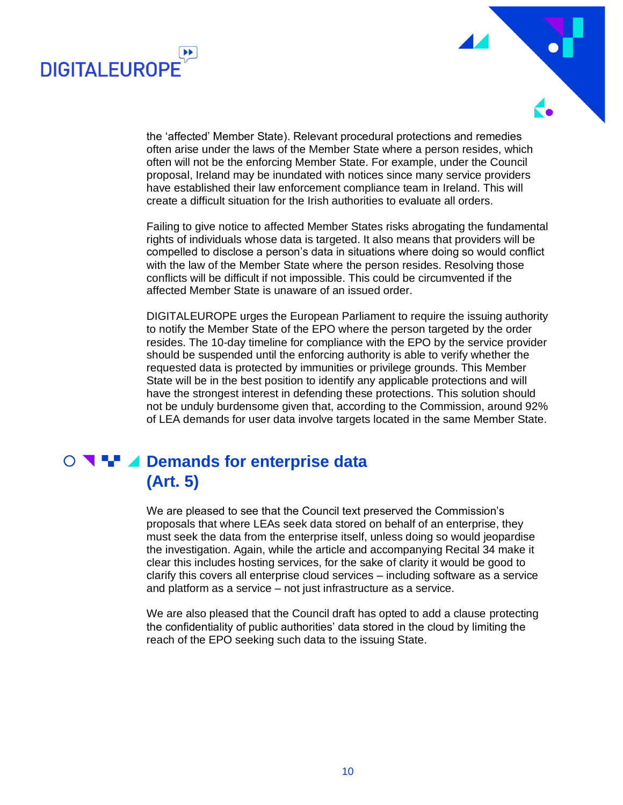



the 'affected' Member State). Relevant procedural protections and remedies often arise under the laws of the Member State where a person resides, which often will not be the enforcing Member State. For example, under the Council proposal, Ireland may be inundated with notices since many service providers have established their law enforcement compliance team in Ireland. This will create a difficult situation for the Irish authorities to evaluate all orders.

Failing to give notice to affected Member States risks abrogating the fundamental rights of individuals whose data is targeted. It also means that providers will be compelled to disclose a person's data in situations where doing so would conflict with the law of the Member State where the person resides. Resolving those conflicts will be difficult if not impossible. This could be circumvented if the affected Member State is unaware of an issued order.

DIGITALEUROPE urges the European Parliament to require the issuing authority to notify the Member State of the EPO where the person targeted by the order resides. The 10-day timeline for compliance with the EPO by the service provider should be suspended until the enforcing authority is able to verify whether the requested data is protected by immunities or privilege grounds. This Member State will be in the best position to identify any applicable protections and will have the strongest interest in defending these protections. This solution should not be unduly burdensome given that, according to the Commission, around 92% of LEA demands for user data involve targets located in the same Member State.

#### **DEMIT 4 Demands for enterprise data (Art. 5)**

<span id="page-9-0"></span>We are pleased to see that the Council text preserved the Commission's proposals that where LEAs seek data stored on behalf of an enterprise, they must seek the data from the enterprise itself, unless doing so would jeopardise the investigation. Again, while the article and accompanying Recital 34 make it clear this includes hosting services, for the sake of clarity it would be good to clarify this covers all enterprise cloud services – including software as a service and platform as a service – not just infrastructure as a service.

We are also pleased that the Council draft has opted to add a clause protecting the confidentiality of public authorities' data stored in the cloud by limiting the reach of the EPO seeking such data to the issuing State.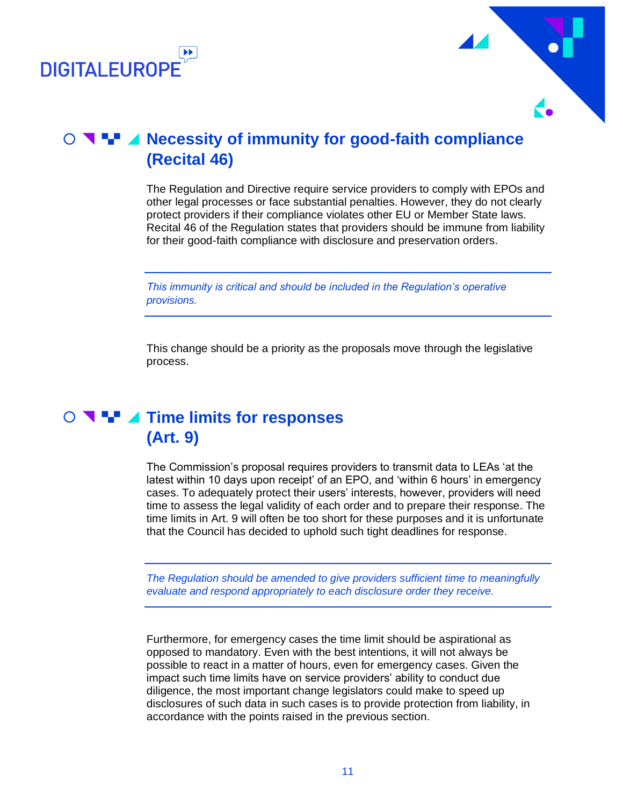



## **O N H** ⊿ Necessity of immunity for good-faith compliance **(Recital 46)**

<span id="page-10-0"></span>The Regulation and Directive require service providers to comply with EPOs and other legal processes or face substantial penalties. However, they do not clearly protect providers if their compliance violates other EU or Member State laws. Recital 46 of the Regulation states that providers should be immune from liability for their good-faith compliance with disclosure and preservation orders.

*This immunity is critical and should be included in the Regulation's operative provisions.*

<span id="page-10-1"></span>This change should be a priority as the proposals move through the legislative process.

### **O T H** ⊿ Time limits for responses **(Art. 9)**

The Commission's proposal requires providers to transmit data to LEAs 'at the latest within 10 days upon receipt' of an EPO, and 'within 6 hours' in emergency cases. To adequately protect their users' interests, however, providers will need time to assess the legal validity of each order and to prepare their response. The time limits in Art. 9 will often be too short for these purposes and it is unfortunate that the Council has decided to uphold such tight deadlines for response.

*The Regulation should be amended to give providers sufficient time to meaningfully evaluate and respond appropriately to each disclosure order they receive.*

Furthermore, for emergency cases the time limit should be aspirational as opposed to mandatory. Even with the best intentions, it will not always be possible to react in a matter of hours, even for emergency cases. Given the impact such time limits have on service providers' ability to conduct due diligence, the most important change legislators could make to speed up disclosures of such data in such cases is to provide protection from liability, in accordance with the points raised in the previous section.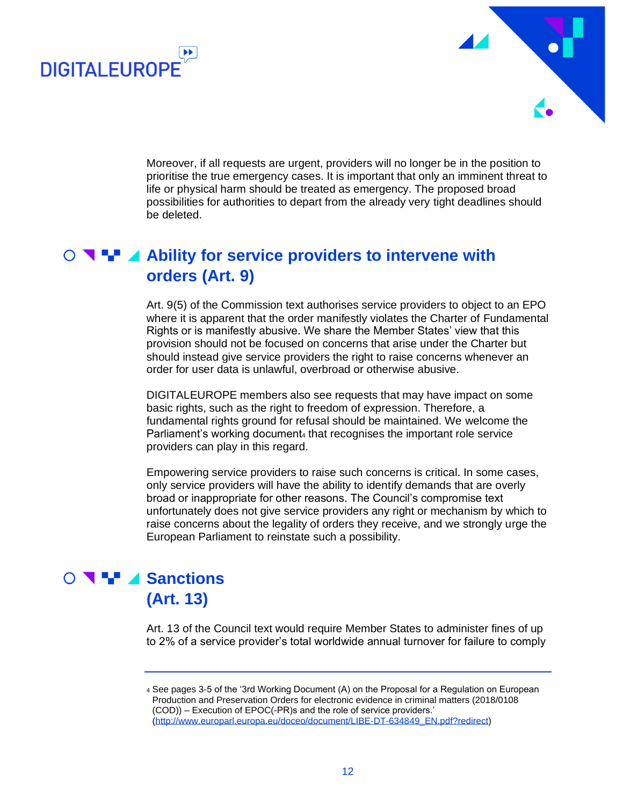



Moreover, if all requests are urgent, providers will no longer be in the position to prioritise the true emergency cases. It is important that only an imminent threat to life or physical harm should be treated as emergency. The proposed broad possibilities for authorities to depart from the already very tight deadlines should be deleted.

#### $\bullet$  **▼ ■ 4 Ability for service providers to intervene with orders (Art. 9)**

<span id="page-11-0"></span>Art. 9(5) of the Commission text authorises service providers to object to an EPO where it is apparent that the order manifestly violates the Charter of Fundamental Rights or is manifestly abusive. We share the Member States' view that this provision should not be focused on concerns that arise under the Charter but should instead give service providers the right to raise concerns whenever an order for user data is unlawful, overbroad or otherwise abusive.

DIGITALEUROPE members also see requests that may have impact on some basic rights, such as the right to freedom of expression. Therefore, a fundamental rights ground for refusal should be maintained. We welcome the Parliament's working document<sub>4</sub> that recognises the important role service providers can play in this regard.

Empowering service providers to raise such concerns is critical. In some cases, only service providers will have the ability to identify demands that are overly broad or inappropriate for other reasons. The Council's compromise text unfortunately does not give service providers any right or mechanism by which to raise concerns about the legality of orders they receive, and we strongly urge the European Parliament to reinstate such a possibility.

#### **O SALE Sanctions (Art. 13)**

<span id="page-11-1"></span>Art. 13 of the Council text would require Member States to administer fines of up to 2% of a service provider's total worldwide annual turnover for failure to comply

<sup>4</sup> See pages 3-5 of the '3rd Working Document (A) on the Proposal for a Regulation on European Production and Preservation Orders for electronic evidence in criminal matters (2018/0108 (COD)) – Execution of EPOC(-PR)s and the role of service providers.' [\(http://www.europarl.europa.eu/doceo/document/LIBE-DT-634849\\_EN.pdf?redirect\)](http://www.europarl.europa.eu/doceo/document/LIBE-DT-634849_EN.pdf?redirect)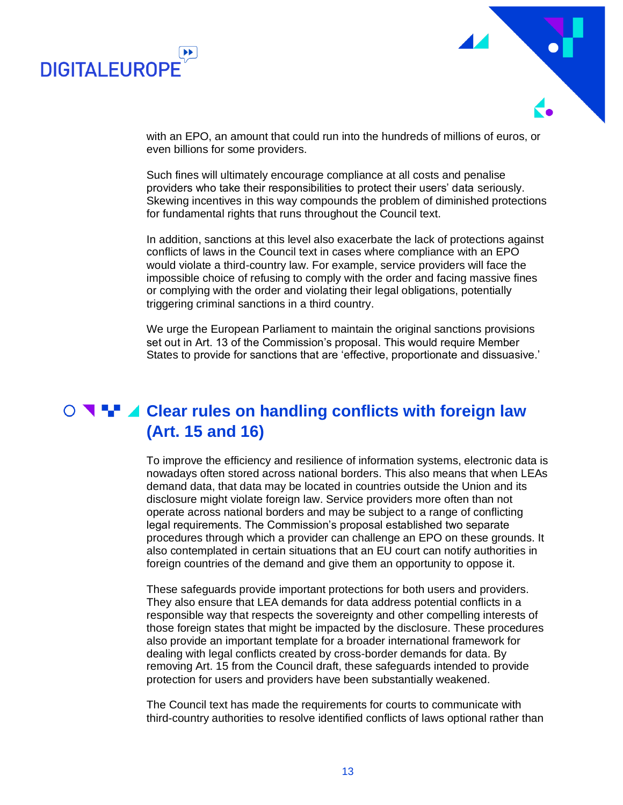



with an EPO, an amount that could run into the hundreds of millions of euros, or even billions for some providers.

Such fines will ultimately encourage compliance at all costs and penalise providers who take their responsibilities to protect their users' data seriously. Skewing incentives in this way compounds the problem of diminished protections for fundamental rights that runs throughout the Council text.

In addition, sanctions at this level also exacerbate the lack of protections against conflicts of laws in the Council text in cases where compliance with an EPO would violate a third-country law. For example, service providers will face the impossible choice of refusing to comply with the order and facing massive fines or complying with the order and violating their legal obligations, potentially triggering criminal sanctions in a third country.

<span id="page-12-0"></span>We urge the European Parliament to maintain the original sanctions provisions set out in Art. 13 of the Commission's proposal. This would require Member States to provide for sanctions that are 'effective, proportionate and dissuasive.'

#### **C T** <sup>■</sup> *▲* Clear rules on handling conflicts with foreign law **(Art. 15 and 16)**

To improve the efficiency and resilience of information systems, electronic data is nowadays often stored across national borders. This also means that when LEAs demand data, that data may be located in countries outside the Union and its disclosure might violate foreign law. Service providers more often than not operate across national borders and may be subject to a range of conflicting legal requirements. The Commission's proposal established two separate procedures through which a provider can challenge an EPO on these grounds. It also contemplated in certain situations that an EU court can notify authorities in foreign countries of the demand and give them an opportunity to oppose it.

These safeguards provide important protections for both users and providers. They also ensure that LEA demands for data address potential conflicts in a responsible way that respects the sovereignty and other compelling interests of those foreign states that might be impacted by the disclosure. These procedures also provide an important template for a broader international framework for dealing with legal conflicts created by cross-border demands for data. By removing Art. 15 from the Council draft, these safeguards intended to provide protection for users and providers have been substantially weakened.

The Council text has made the requirements for courts to communicate with third-country authorities to resolve identified conflicts of laws optional rather than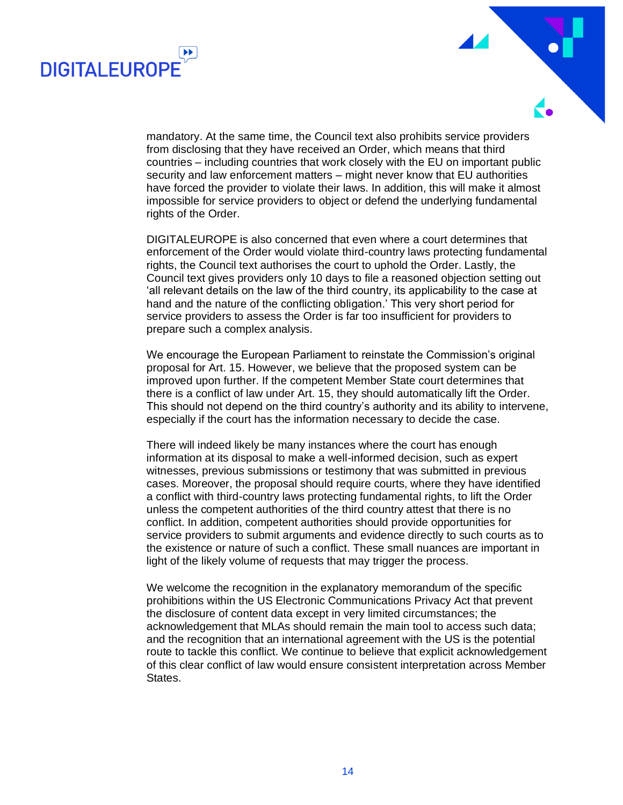



mandatory. At the same time, the Council text also prohibits service providers from disclosing that they have received an Order, which means that third countries – including countries that work closely with the EU on important public security and law enforcement matters – might never know that EU authorities have forced the provider to violate their laws. In addition, this will make it almost impossible for service providers to object or defend the underlying fundamental rights of the Order.

DIGITALEUROPE is also concerned that even where a court determines that enforcement of the Order would violate third-country laws protecting fundamental rights, the Council text authorises the court to uphold the Order. Lastly, the Council text gives providers only 10 days to file a reasoned objection setting out 'all relevant details on the law of the third country, its applicability to the case at hand and the nature of the conflicting obligation.' This very short period for service providers to assess the Order is far too insufficient for providers to prepare such a complex analysis.

We encourage the European Parliament to reinstate the Commission's original proposal for Art. 15. However, we believe that the proposed system can be improved upon further. If the competent Member State court determines that there is a conflict of law under Art. 15, they should automatically lift the Order. This should not depend on the third country's authority and its ability to intervene, especially if the court has the information necessary to decide the case.

There will indeed likely be many instances where the court has enough information at its disposal to make a well-informed decision, such as expert witnesses, previous submissions or testimony that was submitted in previous cases. Moreover, the proposal should require courts, where they have identified a conflict with third-country laws protecting fundamental rights, to lift the Order unless the competent authorities of the third country attest that there is no conflict. In addition, competent authorities should provide opportunities for service providers to submit arguments and evidence directly to such courts as to the existence or nature of such a conflict. These small nuances are important in light of the likely volume of requests that may trigger the process.

We welcome the recognition in the explanatory memorandum of the specific prohibitions within the US Electronic Communications Privacy Act that prevent the disclosure of content data except in very limited circumstances; the acknowledgement that MLAs should remain the main tool to access such data; and the recognition that an international agreement with the US is the potential route to tackle this conflict. We continue to believe that explicit acknowledgement of this clear conflict of law would ensure consistent interpretation across Member States.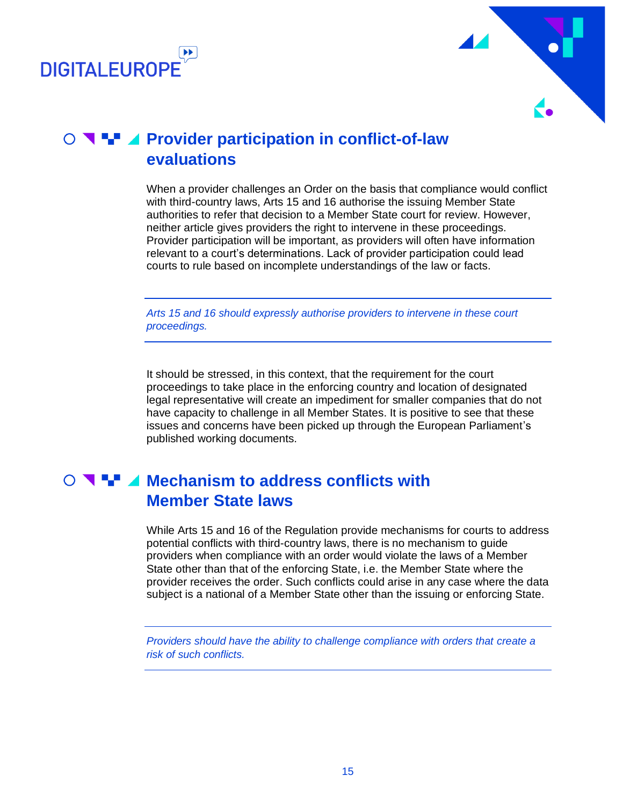



## **O ₹ + 4 Provider participation in conflict-of-law evaluations**

<span id="page-14-0"></span>When a provider challenges an Order on the basis that compliance would conflict with third-country laws, Arts 15 and 16 authorise the issuing Member State authorities to refer that decision to a Member State court for review. However, neither article gives providers the right to intervene in these proceedings. Provider participation will be important, as providers will often have information relevant to a court's determinations. Lack of provider participation could lead courts to rule based on incomplete understandings of the law or facts.

*Arts 15 and 16 should expressly authorise providers to intervene in these court proceedings.*

It should be stressed, in this context, that the requirement for the court proceedings to take place in the enforcing country and location of designated legal representative will create an impediment for smaller companies that do not have capacity to challenge in all Member States. It is positive to see that these issues and concerns have been picked up through the European Parliament's published working documents.

#### **Mechanism to address conflicts with Member State laws**

<span id="page-14-1"></span>While Arts 15 and 16 of the Regulation provide mechanisms for courts to address potential conflicts with third-country laws, there is no mechanism to guide providers when compliance with an order would violate the laws of a Member State other than that of the enforcing State, i.e. the Member State where the provider receives the order. Such conflicts could arise in any case where the data subject is a national of a Member State other than the issuing or enforcing State.

*Providers should have the ability to challenge compliance with orders that create a risk of such conflicts.*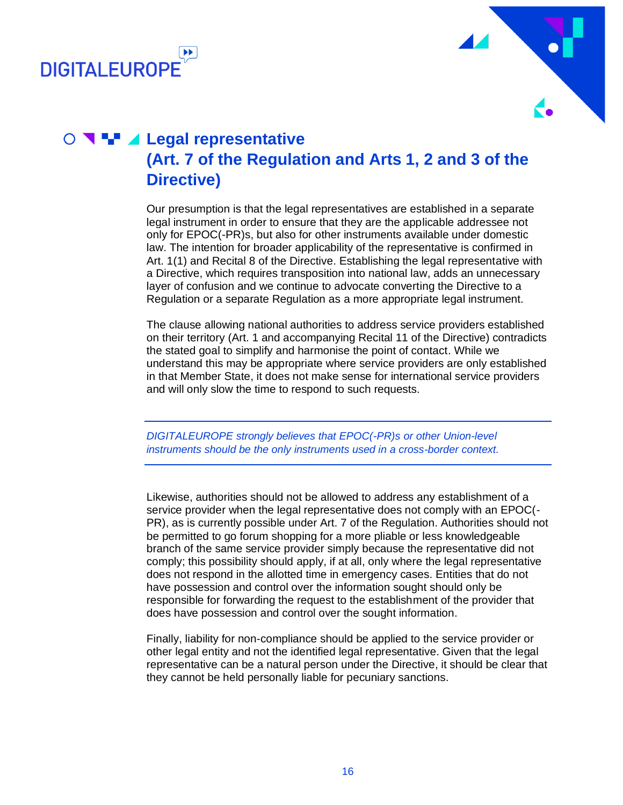



### **C Legal representative (Art. 7 of the Regulation and Arts 1, 2 and 3 of the Directive)**

<span id="page-15-0"></span>Our presumption is that the legal representatives are established in a separate legal instrument in order to ensure that they are the applicable addressee not only for EPOC(-PR)s, but also for other instruments available under domestic law. The intention for broader applicability of the representative is confirmed in Art. 1(1) and Recital 8 of the Directive. Establishing the legal representative with a Directive, which requires transposition into national law, adds an unnecessary layer of confusion and we continue to advocate converting the Directive to a Regulation or a separate Regulation as a more appropriate legal instrument.

The clause allowing national authorities to address service providers established on their territory (Art. 1 and accompanying Recital 11 of the Directive) contradicts the stated goal to simplify and harmonise the point of contact. While we understand this may be appropriate where service providers are only established in that Member State, it does not make sense for international service providers and will only slow the time to respond to such requests.

*DIGITALEUROPE strongly believes that EPOC(-PR)s or other Union-level instruments should be the only instruments used in a cross-border context.*

Likewise, authorities should not be allowed to address any establishment of a service provider when the legal representative does not comply with an EPOC(- PR), as is currently possible under Art. 7 of the Regulation. Authorities should not be permitted to go forum shopping for a more pliable or less knowledgeable branch of the same service provider simply because the representative did not comply; this possibility should apply, if at all, only where the legal representative does not respond in the allotted time in emergency cases. Entities that do not have possession and control over the information sought should only be responsible for forwarding the request to the establishment of the provider that does have possession and control over the sought information.

Finally, liability for non-compliance should be applied to the service provider or other legal entity and not the identified legal representative. Given that the legal representative can be a natural person under the Directive, it should be clear that they cannot be held personally liable for pecuniary sanctions.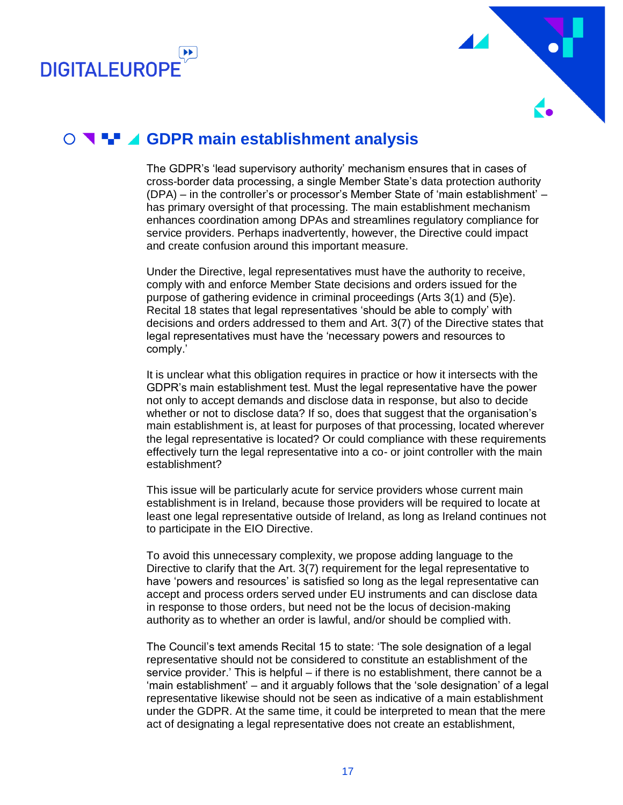



#### **GDPR main establishment analysis**

<span id="page-16-0"></span>The GDPR's 'lead supervisory authority' mechanism ensures that in cases of cross-border data processing, a single Member State's data protection authority (DPA) – in the controller's or processor's Member State of 'main establishment' – has primary oversight of that processing. The main establishment mechanism enhances coordination among DPAs and streamlines regulatory compliance for service providers. Perhaps inadvertently, however, the Directive could impact and create confusion around this important measure.

Under the Directive, legal representatives must have the authority to receive, comply with and enforce Member State decisions and orders issued for the purpose of gathering evidence in criminal proceedings (Arts 3(1) and (5)e). Recital 18 states that legal representatives 'should be able to comply' with decisions and orders addressed to them and Art. 3(7) of the Directive states that legal representatives must have the 'necessary powers and resources to comply.'

It is unclear what this obligation requires in practice or how it intersects with the GDPR's main establishment test. Must the legal representative have the power not only to accept demands and disclose data in response, but also to decide whether or not to disclose data? If so, does that suggest that the organisation's main establishment is, at least for purposes of that processing, located wherever the legal representative is located? Or could compliance with these requirements effectively turn the legal representative into a co- or joint controller with the main establishment?

This issue will be particularly acute for service providers whose current main establishment is in Ireland, because those providers will be required to locate at least one legal representative outside of Ireland, as long as Ireland continues not to participate in the EIO Directive.

To avoid this unnecessary complexity, we propose adding language to the Directive to clarify that the Art. 3(7) requirement for the legal representative to have 'powers and resources' is satisfied so long as the legal representative can accept and process orders served under EU instruments and can disclose data in response to those orders, but need not be the locus of decision-making authority as to whether an order is lawful, and/or should be complied with.

The Council's text amends Recital 15 to state: 'The sole designation of a legal representative should not be considered to constitute an establishment of the service provider.' This is helpful – if there is no establishment, there cannot be a 'main establishment' – and it arguably follows that the 'sole designation' of a legal representative likewise should not be seen as indicative of a main establishment under the GDPR. At the same time, it could be interpreted to mean that the mere act of designating a legal representative does not create an establishment,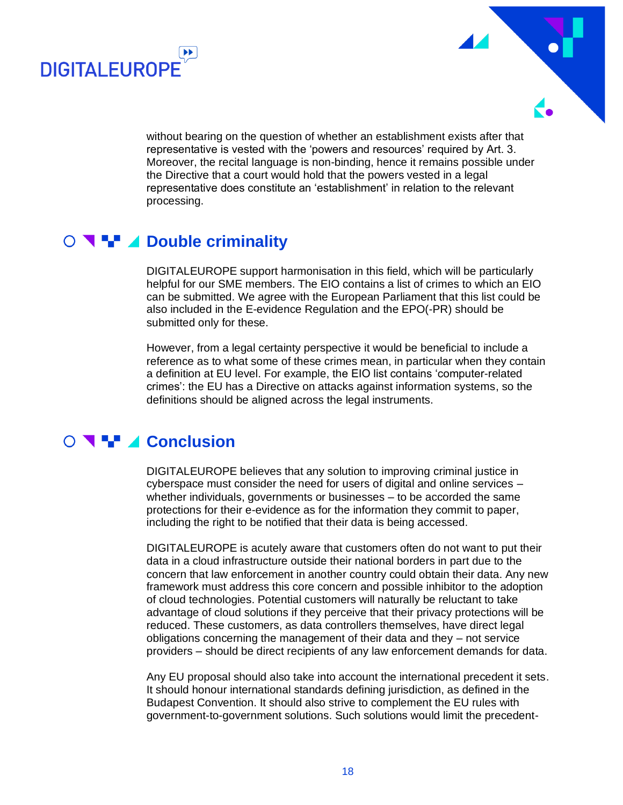



without bearing on the question of whether an establishment exists after that representative is vested with the 'powers and resources' required by Art. 3. Moreover, the recital language is non-binding, hence it remains possible under the Directive that a court would hold that the powers vested in a legal representative does constitute an 'establishment' in relation to the relevant processing.

#### **D N H** ⊿ Double criminality

<span id="page-17-0"></span>DIGITALEUROPE support harmonisation in this field, which will be particularly helpful for our SME members. The EIO contains a list of crimes to which an EIO can be submitted. We agree with the European Parliament that this list could be also included in the E-evidence Regulation and the EPO(-PR) should be submitted only for these.

However, from a legal certainty perspective it would be beneficial to include a reference as to what some of these crimes mean, in particular when they contain a definition at EU level. For example, the EIO list contains 'computer-related crimes': the EU has a Directive on attacks against information systems, so the definitions should be aligned across the legal instruments.

## **CONCHING CONClUSION**

<span id="page-17-1"></span>DIGITALEUROPE believes that any solution to improving criminal justice in cyberspace must consider the need for users of digital and online services – whether individuals, governments or businesses – to be accorded the same protections for their e-evidence as for the information they commit to paper, including the right to be notified that their data is being accessed.

DIGITALEUROPE is acutely aware that customers often do not want to put their data in a cloud infrastructure outside their national borders in part due to the concern that law enforcement in another country could obtain their data. Any new framework must address this core concern and possible inhibitor to the adoption of cloud technologies. Potential customers will naturally be reluctant to take advantage of cloud solutions if they perceive that their privacy protections will be reduced. These customers, as data controllers themselves, have direct legal obligations concerning the management of their data and they – not service providers – should be direct recipients of any law enforcement demands for data.

Any EU proposal should also take into account the international precedent it sets. It should honour international standards defining jurisdiction, as defined in the Budapest Convention. It should also strive to complement the EU rules with government-to-government solutions. Such solutions would limit the precedent-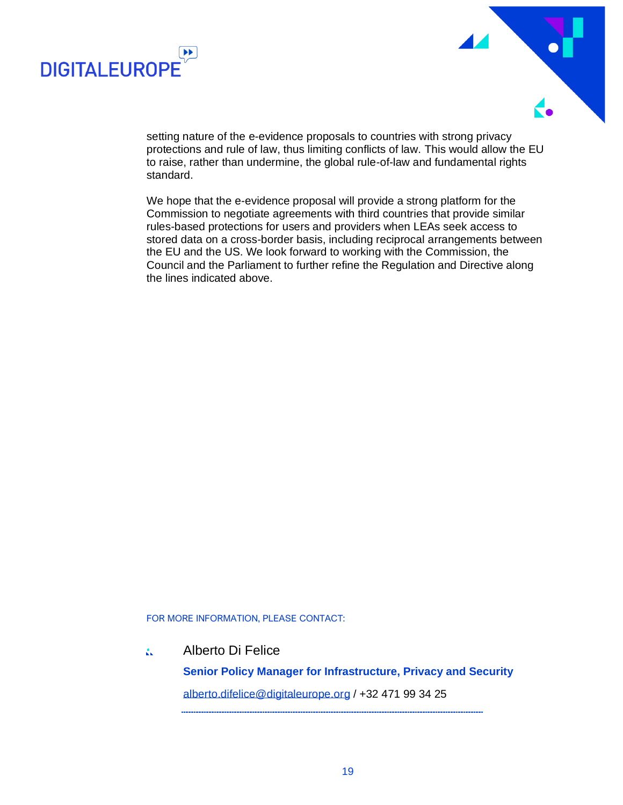



setting nature of the e-evidence proposals to countries with strong privacy protections and rule of law, thus limiting conflicts of law. This would allow the EU to raise, rather than undermine, the global rule-of-law and fundamental rights standard.

We hope that the e-evidence proposal will provide a strong platform for the Commission to negotiate agreements with third countries that provide similar rules-based protections for users and providers when LEAs seek access to stored data on a cross-border basis, including reciprocal arrangements between the EU and the US. We look forward to working with the Commission, the Council and the Parliament to further refine the Regulation and Directive along the lines indicated above.

#### FOR MORE INFORMATION, PLEASE CONTACT:

#### Alberto Di Felice A.

**Senior Policy Manager for Infrastructure, Privacy and Security** [alberto.difelice@digitaleurope.org](mailto:alberto.difelice@digitaleurope.org) / +32 471 99 34 25